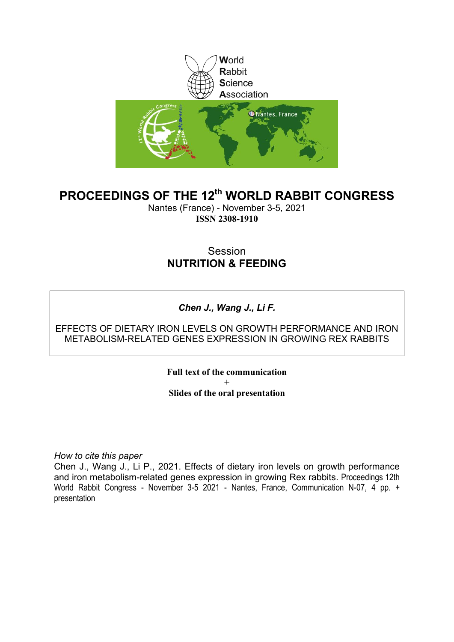

## **PROCEEDINGS OF THE 12th WORLD RABBIT CONGRESS**

Nantes (France) - November 3-5, 2021 **ISSN 2308-1910**

### Session **NUTRITION & FEEDING**

### *Chen J., Wang J., Li F.*

### EFFECTS OF DIETARY IRON LEVELS ON GROWTH PERFORMANCE AND IRON METABOLISM-RELATED GENES EXPRESSION IN GROWING REX RABBITS

**Full text of the communication + Slides of the oral presentation**

*How to cite this paper*

Chen J., Wang J., Li P., 2021. Effects of dietary iron levels on growth performance and iron metabolism-related genes expression in growing Rex rabbits. Proceedings 12th World Rabbit Congress - November 3-5 2021 - Nantes, France, Communication N-07, 4 pp. + presentation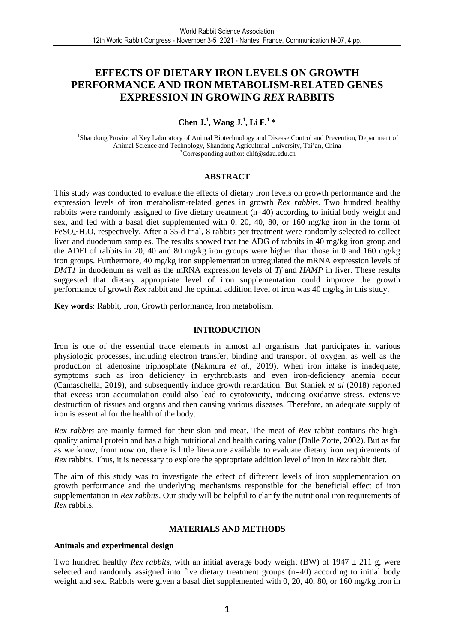### **EFFECTS OF DIETARY IRON LEVELS ON GROWTH PERFORMANCE AND IRON METABOLISM-RELATED GENES EXPRESSION IN GROWING** *REX* **RABBITS**

#### **Chen J.<sup>1</sup> , Wang J.<sup>1</sup> , Li F.<sup>1</sup> \***

<sup>1</sup>Shandong Provincial Key Laboratory of Animal Biotechnology and Disease Control and Prevention, Department of Animal Science and Technology, Shandong Agricultural University, Tai'an, China \*Corresponding author: chlf@sdau.edu.cn

#### **ABSTRACT**

This study was conducted to evaluate the effects of dietary iron levels on growth performance and the expression levels of iron metabolism-related genes in growth *Rex rabbits*. Two hundred healthy rabbits were randomly assigned to five dietary treatment (n=40) according to initial body weight and sex, and fed with a basal diet supplemented with 0, 20, 40, 80, or 160 mg/kg iron in the form of FeSO4·H2O, respectively. After a 35-d trial, 8 rabbits per treatment were randomly selected to collect liver and duodenum samples. The results showed that the ADG of rabbits in 40 mg/kg iron group and the ADFI of rabbits in 20, 40 and 80 mg/kg iron groups were higher than those in 0 and 160 mg/kg iron groups. Furthermore, 40 mg/kg iron supplementation upregulated the mRNA expression levels of *DMT1* in duodenum as well as the mRNA expression levels of *Tf* and *HAMP* in liver. These results suggested that dietary appropriate level of iron supplementation could improve the growth performance of growth *Rex* rabbit and the optimal addition level of iron was 40 mg/kg in this study.

**Key words**: Rabbit, Iron, Growth performance, Iron metabolism.

#### **INTRODUCTION**

Iron is one of the essential trace elements in almost all organisms that participates in various physiologic processes, including electron transfer, binding and transport of oxygen, as well as the production of adenosine triphosphate (Nakmura *et al*., 2019). When iron intake is inadequate, symptoms such as iron deficiency in erythroblasts and even iron-deficiency anemia occur (Camaschella, 2019), and subsequently induce growth retardation. But Staniek *et al* (2018) reported that excess iron accumulation could also lead to cytotoxicity, inducing oxidative stress, extensive destruction of tissues and organs and then causing various diseases. Therefore, an adequate supply of iron is essential for the health of the body.

*Rex rabbits* are mainly farmed for their skin and meat. The meat of *Rex* rabbit contains the highquality animal protein and has a high nutritional and health caring value (Dalle Zotte, 2002). But as far as we know, from now on, there is little literature available to evaluate dietary iron requirements of *Rex* rabbits. Thus, it is necessary to explore the appropriate addition level of iron in *Rex* rabbit diet.

The aim of this study was to investigate the effect of different levels of iron supplementation on growth performance and the underlying mechanisms responsible for the beneficial effect of iron supplementation in *Rex rabbits*. Our study will be helpful to clarify the nutritional iron requirements of *Rex* rabbits.

#### **MATERIALS AND METHODS**

#### **Animals and experimental design**

Two hundred healthy *Rex rabbits*, with an initial average body weight (BW) of  $1947 \pm 211$  g, were selected and randomly assigned into five dietary treatment groups (n=40) according to initial body weight and sex. Rabbits were given a basal diet supplemented with 0, 20, 40, 80, or 160 mg/kg iron in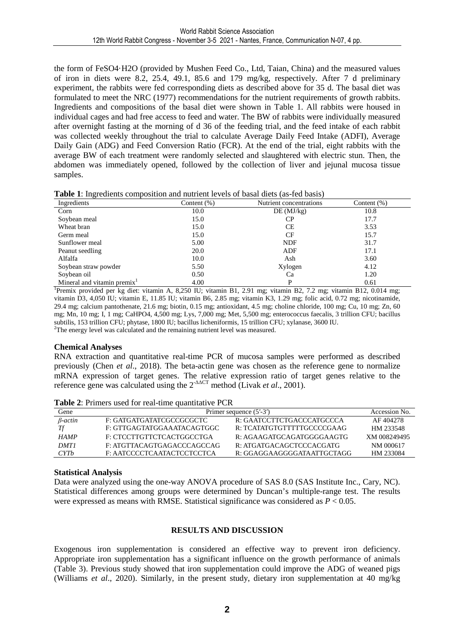the form of FeSO4·H2O (provided by Mushen Feed Co., Ltd, Taian, China) and the measured values of iron in diets were 8.2, 25.4, 49.1, 85.6 and 179 mg/kg, respectively. After 7 d preliminary experiment, the rabbits were fed corresponding diets as described above for 35 d. The basal diet was formulated to meet the NRC (1977) recommendations for the nutrient requirements of growth rabbits. Ingredients and compositions of the basal diet were shown in Table 1. All rabbits were housed in individual cages and had free access to feed and water. The BW of rabbits were individually measured after overnight fasting at the morning of d 36 of the feeding trial, and the feed intake of each rabbit was collected weekly throughout the trial to calculate Average Daily Feed Intake (ADFI), Average Daily Gain (ADG) and Feed Conversion Ratio (FCR). At the end of the trial, eight rabbits with the average BW of each treatment were randomly selected and slaughtered with electric stun. Then, the abdomen was immediately opened, followed by the collection of liver and jejunal mucosa tissue samples.

|  | Table 1: Ingredients composition and nutrient levels of basal diets (as-fed basis) |  |  |  |  |
|--|------------------------------------------------------------------------------------|--|--|--|--|
|  |                                                                                    |  |  |  |  |

| ັ<br>Ingredients           | Content $(\%)$ | Nutrient concentrations | Content $(\% )$ |
|----------------------------|----------------|-------------------------|-----------------|
| Corn                       | 10.0           | DE(MJ/kg)               | 10.8            |
| Soybean meal               | 15.0           | СP                      | 17.7            |
| Wheat bran                 | 15.0           | СE                      | 3.53            |
| Germ meal                  | 15.0           | CF                      | 15.7            |
| Sunflower meal             | 5.00           | <b>NDF</b>              | 31.7            |
| Peanut seedling            | 20.0           | ADF                     | 17.1            |
| Alfalfa                    | 10.0           | Ash                     | 3.60            |
| Soybean straw powder       | 5.50           | Xylogen                 | 4.12            |
| Soybean oil                | 0.50           | Ca                      | 1.20            |
| Mineral and vitamin premix | 4.00           |                         | 0.61            |

<sup>1</sup>Premix provided per kg diet: vitamin A, 8,250 IU; vitamin B1, 2.91 mg; vitamin B2, 7.2 mg; vitamin B12, 0.014 mg; vitamin D3, 4,050 IU; vitamin E, 11.85 IU; vitamin B6, 2.85 mg; vitamin K3, 1.29 mg; folic acid, 0.72 mg; nicotinamide, 29.4 mg; calcium pantothenate, 21.6 mg; biotin, 0.15 mg; antioxidant, 4.5 mg; choline chloride, 100 mg; Cu, 10 mg; Zn, 60 mg; Mn, 10 mg; I, 1 mg; CaHPO4, 4,500 mg; Lys, 7,000 mg; Met, 5,500 mg; enterococcus faecalis, 3 trillion CFU; bacillus subtilis, 153 trillion CFU; phytase, 1800 IU; bacillus licheniformis, 15 trillion CFU; xylanase, 3600 IU.  $2$ The energy level was calculated and the remaining nutrient level was measured.

#### **Chemical Analyses**

RNA extraction and quantitative real-time PCR of mucosa samples were performed as described previously (Chen *et al*., 2018). The beta-actin gene was chosen as the reference gene to normalize mRNA expression of target genes. The relative expression ratio of target genes relative to the reference gene was calculated using the 2-∆∆CT method (Livak *et al*., 2001).

| Gene           | Primer sequence $(5'$ -3') | Accession No.              |              |
|----------------|----------------------------|----------------------------|--------------|
| $\beta$ -actin | F: GATGATGATATCGCCGCGCTC   | R: GAATCCTTCTGACCCATGCCCA  | AF 404278    |
|                | F: GTTGAGTATGGAAATACAGTGGC | R. TCATATGTGTTTTTGCCCCGAAG | HM 233548    |
| <b>HAMP</b>    | E: CTCCTTGTTCTCACTGGCCTGA  | R: AGAAGATGCAGATGGGGAAGTG  | XM 008249495 |
| <b>DMT1</b>    | F: ATGTTACAGTGAGACCCAGCCAG | R: ATGATGACAGCTCCCACGATG   | NM 000617    |
| <i>CYTb</i>    | F: AATCCCCTCAATACTCCTCCTCA | R: GGAGGAAGGGGATAATTGCTAGG | HM 233084    |

**Table 2**: Primers used for real-time quantitative PCR

#### **Statistical Analysis**

Data were analyzed using the one-way ANOVA procedure of SAS 8.0 (SAS Institute Inc., Cary, NC). Statistical differences among groups were determined by Duncan's multiple-range test. The results were expressed as means with RMSE. Statistical significance was considered as  $P < 0.05$ .

#### **RESULTS AND DISCUSSION**

Exogenous iron supplementation is considered an effective way to prevent iron deficiency. Appropriate iron supplementation has a significant influence on the growth performance of animals (Table 3). Previous study showed that iron supplementation could improve the ADG of weaned pigs (Williams *et al*., 2020). Similarly, in the present study, dietary iron supplementation at 40 mg/kg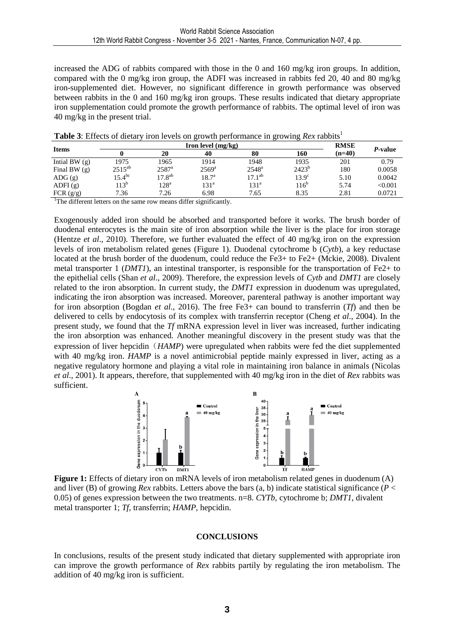increased the ADG of rabbits compared with those in the 0 and 160 mg/kg iron groups. In addition, compared with the 0 mg/kg iron group, the ADFI was increased in rabbits fed 20, 40 and 80 mg/kg iron-supplemented diet. However, no significant difference in growth performance was observed between rabbits in the 0 and 160 mg/kg iron groups. These results indicated that dietary appropriate iron supplementation could promote the growth performance of rabbits. The optimal level of iron was 40 mg/kg in the present trial.

| <b>Items</b>           | Iron level $(mg/kg)$ |                  |                  |                  |                  |          | <i>P</i> -value |
|------------------------|----------------------|------------------|------------------|------------------|------------------|----------|-----------------|
|                        |                      | 20               | 40               | 80               | 160              | $(n=40)$ |                 |
| Intial BW $(g)$        | 1975                 | 1965             | 1914             | 1948             | 1935             | 201      | 0.79            |
| Final BW $(g)$         | $2515^{ab}$          | $2587^{\rm a}$   | $2569^{\rm a}$   | $2548^{\rm a}$   | $2423^{b}$       | 180      | 0.0058          |
| $\text{ADG}(\text{g})$ | $15.4^{bc}$          | $17.8^{ab}$      | $18.7^{\circ}$   | $17.1^{ab}$      | $13.9^\circ$     | 5.10     | 0.0042          |
| ADFI(g)                | $113^b$              | 128 <sup>a</sup> | 131 <sup>a</sup> | 131 <sup>a</sup> | 116 <sup>b</sup> | 5.74     | < 0.001         |
| FCR $(g/g)$            | 7.36                 | 7.26             | 6.98             | 7.65             | 8.35             | 2.81     | 0.0721          |

**Table 3**: Effects of dietary iron levels on growth performance in growing *Rex* rabbits<sup>1</sup>

<sup>1</sup>The different letters on the same row means differ significantly.

Exogenously added iron should be absorbed and transported before it works. The brush border of duodenal enterocytes is the main site of iron absorption while the liver is the place for iron storage (Hentze *et al*., 2010). Therefore, we further evaluated the effect of 40 mg/kg iron on the expression levels of iron metabolism related genes (Figure 1). Duodenal cytochrome b (*Cytb*), a key reductase located at the brush border of the duodenum, could reduce the Fe3+ to Fe2+ (Mckie, 2008). Divalent metal transporter 1 (*DMT1*), an intestinal transporter, is responsible for the transportation of Fe2+ to the epithelial cells (Shan *et al*., 2009). Therefore, the expression levels of *Cytb* and *DMT1* are closely related to the iron absorption. In current study, the *DMT1* expression in duodenum was upregulated, indicating the iron absorption was increased. Moreover, parenteral pathway is another important way for iron absorption (Bogdan *et al*., 2016). The free Fe3+ can bound to transferrin (*Tf*) and then be delivered to cells by endocytosis of its complex with transferrin receptor (Cheng *et al*., 2004). In the present study, we found that the *Tf* mRNA expression level in liver was increased, further indicating the iron absorption was enhanced. Another meaningful discovery in the present study was that the expression of liver hepcidin (*HAMP*) were upregulated when rabbits were fed the diet supplemented with 40 mg/kg iron. *HAMP* is a novel antimicrobial peptide mainly expressed in liver, acting as a negative regulatory hormone and playing a vital role in maintaining iron balance in animals (Nicolas *et al*., 2001). It appears, therefore, that supplemented with 40 mg/kg iron in the diet of *Rex* rabbits was sufficient.



**Figure 1:** Effects of dietary iron on mRNA levels of iron metabolism related genes in duodenum (A) and liver (B) of growing *Rex* rabbits. Letters above the bars (a, b) indicate statistical significance ( $P <$ 0.05) of genes expression between the two treatments. n=8. *CYTb*, cytochrome b; *DMT1*, divalent metal transporter 1; *Tf*, transferrin; *HAMP*, hepcidin.

#### **CONCLUSIONS**

In conclusions, results of the present study indicated that dietary supplemented with appropriate iron can improve the growth performance of *Rex* rabbits partily by regulating the iron metabolism. The addition of 40 mg/kg iron is sufficient.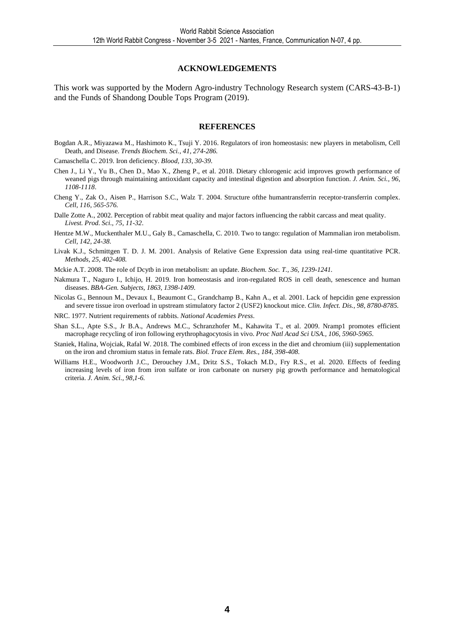#### **ACKNOWLEDGEMENTS**

This work was supported by the Modern Agro-industry Technology Research system (CARS-43-B-1) and the Funds of Shandong Double Tops Program (2019).

#### **REFERENCES**

Bogdan A.R., Miyazawa M., Hashimoto K., Tsuji Y. 2016. Regulators of iron homeostasis: new players in metabolism, Cell Death, and Disease. *Trends Biochem. Sci., 41, 274-286.*

Camaschella C. 2019. Iron deficiency. *Blood, 133, 30-39.* 

- Chen J., Li Y., Yu B., Chen D., Mao X., Zheng P., et al. 2018. Dietary chlorogenic acid improves growth performance of weaned pigs through maintaining antioxidant capacity and intestinal digestion and absorption function. *J. Anim. Sci., 96, 1108-1118*.
- Cheng Y., Zak O., Aisen P., Harrison S.C., Walz T. 2004. Structure ofthe humantransferrin receptor-transferrin complex. *Cell, 116, 565-576.*
- Dalle Zotte A., 2002. Perception of rabbit meat quality and major factors influencing the rabbit carcass and meat quality. *Livest. Prod. Sci., 75, 11-32*.
- Hentze M.W., Muckenthaler M.U., Galy B., Camaschella, C. 2010. Two to tango: regulation of Mammalian iron metabolism. *Cell, 142, 24-38.*
- Livak K.J., Schmittgen T. D. J. M. 2001. Analysis of Relative Gene Expression data using real-time quantitative PCR. *Methods, 25, 402-408.*
- Mckie A.T. 2008. The role of Dcytb in iron metabolism: an update. *Biochem. Soc. T., 36, 1239-1241.*
- Nakmura T., Naguro I., Ichijo, H. 2019. Iron homeostasis and iron-regulated ROS in cell death, senescence and human diseases. *BBA-Gen. Subjects, 1863, 1398-1409.*
- Nicolas G., Bennoun M., Devaux I., Beaumont C., Grandchamp B., Kahn A., et al. 2001. Lack of hepcidin gene expression and severe tissue iron overload in upstream stimulatory factor 2 (USF2) knockout mice. *Clin. Infect. Dis., 98, 8780-8785.*
- NRC. 1977. Nutrient requirements of rabbits. *National Academies Press*.
- Shan S.L., Apte S.S., Jr B.A., Andrews M.C., Schranzhofer M., Kahawita T., et al. 2009. Nramp1 promotes efficient macrophage recycling of iron following erythrophagocytosis in vivo. *Proc Natl Acad Sci USA., 106, 5960-5965.*
- Staniek, Halina, Wojciak, Rafal W. 2018. The combined effects of iron excess in the diet and chromium (iii) supplementation on the iron and chromium status in female rats. *Biol. Trace Elem. Res., 184, 398-408.*
- Williams H.E., Woodworth J.C., Derouchey J.M., Dritz S.S., Tokach M.D., Fry R.S., et al. 2020. Effects of feeding increasing levels of iron from iron sulfate or iron carbonate on nursery pig growth performance and hematological criteria. *J. Anim. Sci., 98,1-6.*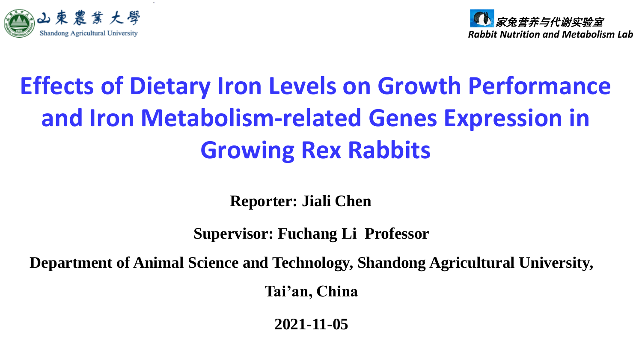



# **Effects of Dietary Iron Levels on Growth Performance and Iron Metabolism-related Genes Expression in Growing Rex Rabbits**

**Reporter: Jiali Chen**

**Supervisor: Fuchang Li Professor**

**Department of Animal Science and Technology, Shandong Agricultural University,** 

**Tai'an, China**

**2021-11-05**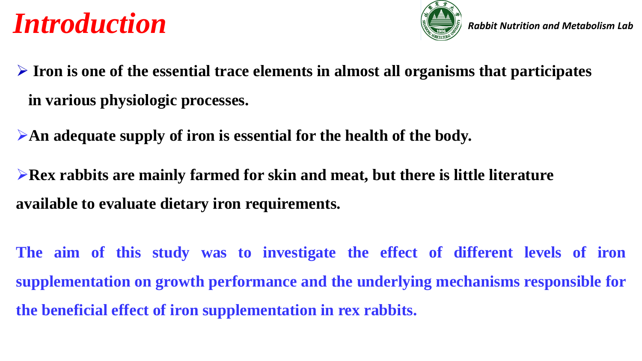# *Introduction*



- ➢ **Iron is one of the essential trace elements in almost all organisms that participates in various physiologic processes.**
- ➢**An adequate supply of iron is essential for the health of the body.**
- ➢**Rex rabbits are mainly farmed for skin and meat, but there is little literature available to evaluate dietary iron requirements.**
- **The aim of this study was to investigate the effect of different levels of iron supplementation on growth performance and the underlying mechanisms responsible for the beneficial effect of iron supplementation in rex rabbits.**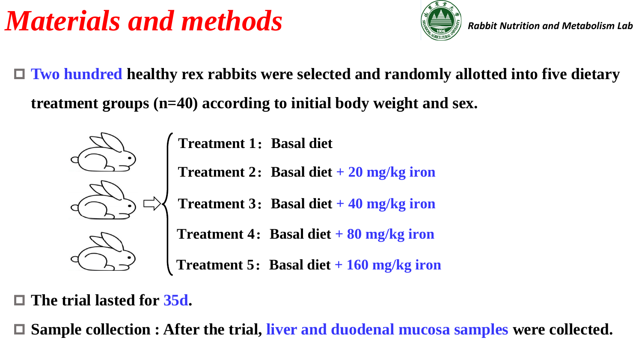# *Materials and methods*



*Rabbit Nutrition and Metabolism Lab*

 **Two hundred healthy rex rabbits were selected and randomly allotted into five dietary treatment groups (n=40) according to initial body weight and sex.** 



**Treatment 1**:**Basal diet**

**Treatment 2**:**Basal diet + 20 mg/kg iron**

**Treatment 3**:**Basal diet + 40 mg/kg iron**



**Treatment 4**:**Basal diet + 80 mg/kg iron**



**Treatment 5**:**Basal diet + 160 mg/kg iron**

## **The trial lasted for 35d.**

**Sample collection : After the trial, liver and duodenal mucosa samples were collected.**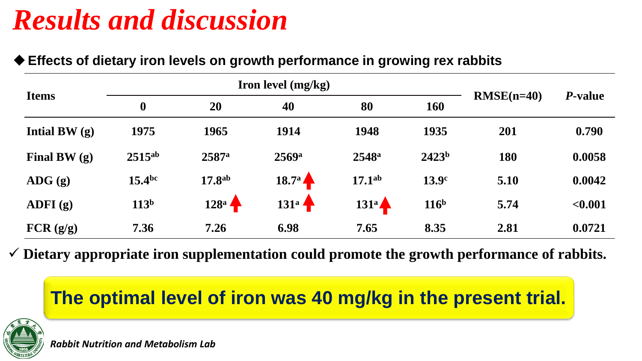# *Results and discussion*

## ◆ Effects of dietary iron levels on growth performance in growing rex rabbits

|                            |                               | Iron level (mg/kg) |                     |                    |                   |              |                 |
|----------------------------|-------------------------------|--------------------|---------------------|--------------------|-------------------|--------------|-----------------|
| <b>Items</b>               | $\boldsymbol{0}$<br><b>20</b> |                    | 40                  | 80                 | 160               | $RMSE(n=40)$ | <i>P</i> -value |
| Intial BW $(q)$            | 1975                          | 1965               | 1914                | 1948               | 1935              | 201          | 0.790           |
| Final BW $(g)$             | $2515^{ab}$                   | 2587a              | $2569$ <sup>a</sup> | $2548^{\rm a}$     | 2423 <sup>b</sup> | 180          | 0.0058          |
| $\bf{A} \bf{D} \bf{G}$ (g) | $15.4^{bc}$                   | 17.8 <sup>ab</sup> | $18.7^{\circ}$      | 17.1 <sup>ab</sup> | 13.9 <sup>c</sup> | 5.10         | 0.0042          |
| ADFI $(g)$                 | 113 <sup>b</sup>              | $128^a$            | $131^a$             | $131^a$            | 116 <sup>b</sup>  | 5.74         | < 0.001         |
| FCR(g/g)                   | 7.36                          | 7.26               | 6.98                | 7.65               | 8.35              | 2.81         | 0.0721          |

✓ **Dietary appropriate iron supplementation could promote the growth performance of rabbits.**

# **The optimal level of iron was 40 mg/kg in the present trial.**



*Rabbit Nutrition and Metabolism Lab*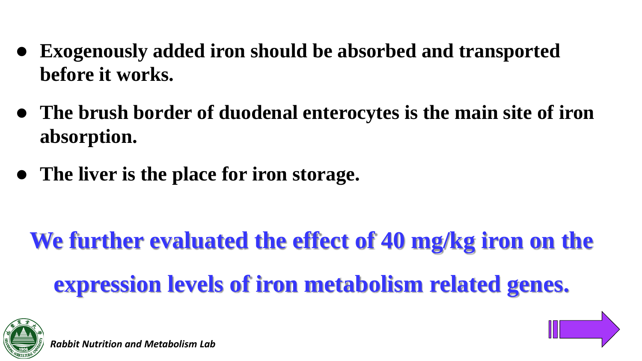- ⚫ **Exogenously added iron should be absorbed and transported before it works.**
- ⚫ **The brush border of duodenal enterocytes is the main site of iron absorption.**
- ⚫ **The liver is the place for iron storage.**

**We further evaluated the effect of 40 mg/kg iron on the expression levels of iron metabolism related genes.** 



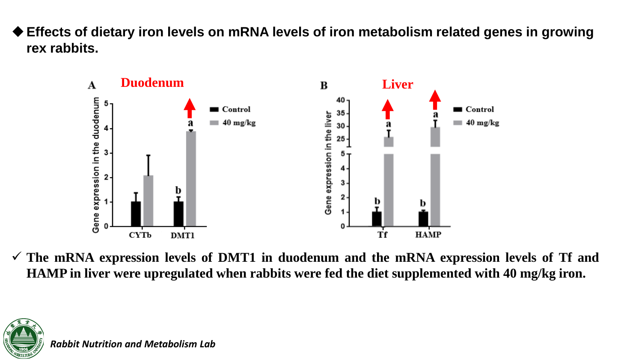**Effects of dietary iron levels on mRNA levels of iron metabolism related genes in growing rex rabbits.**



✓ **The mRNA expression levels of DMT1 in duodenum and the mRNA expression levels of Tf and HAMP in liver were upregulated when rabbits were fed the diet supplemented with 40 mg/kg iron.**